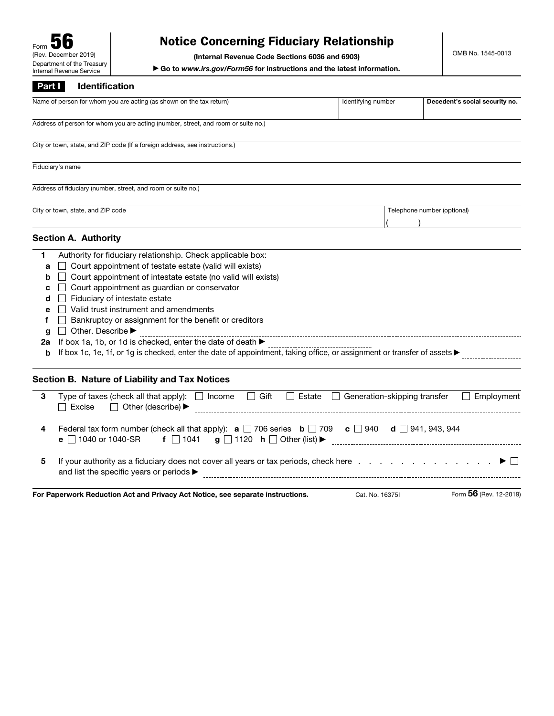## Notice Concerning Fiduciary Relationship

(Internal Revenue Code Sections 6036 and 6903)

▶ Go to *www.irs.gov/Form56* for instructions and the latest information.

## Part I Identification

|                                                 | Name of person for whom you are acting (as shown on the tax return)                                                                                                                                                                                                                                                                                                                                                                                                                                                                                                                                      | Identifying number | Decedent's social security no. |
|-------------------------------------------------|----------------------------------------------------------------------------------------------------------------------------------------------------------------------------------------------------------------------------------------------------------------------------------------------------------------------------------------------------------------------------------------------------------------------------------------------------------------------------------------------------------------------------------------------------------------------------------------------------------|--------------------|--------------------------------|
|                                                 | Address of person for whom you are acting (number, street, and room or suite no.)                                                                                                                                                                                                                                                                                                                                                                                                                                                                                                                        |                    |                                |
|                                                 | City or town, state, and ZIP code (If a foreign address, see instructions.)                                                                                                                                                                                                                                                                                                                                                                                                                                                                                                                              |                    |                                |
|                                                 | Fiduciary's name                                                                                                                                                                                                                                                                                                                                                                                                                                                                                                                                                                                         |                    |                                |
|                                                 | Address of fiduciary (number, street, and room or suite no.)                                                                                                                                                                                                                                                                                                                                                                                                                                                                                                                                             |                    |                                |
|                                                 | City or town, state, and ZIP code                                                                                                                                                                                                                                                                                                                                                                                                                                                                                                                                                                        |                    | Telephone number (optional)    |
|                                                 | <b>Section A. Authority</b>                                                                                                                                                                                                                                                                                                                                                                                                                                                                                                                                                                              |                    |                                |
| 1<br>a<br>b<br>c<br>d<br>е<br>f<br>g<br>2a<br>b | Authority for fiduciary relationship. Check applicable box:<br>Court appointment of testate estate (valid will exists)<br>Court appointment of intestate estate (no valid will exists)<br>Court appointment as guardian or conservator<br>Fiduciary of intestate estate<br>Valid trust instrument and amendments<br>Bankruptcy or assignment for the benefit or creditors<br>Other. Describe<br>If box 1a, 1b, or 1d is checked, enter the date of death $\blacktriangleright$<br>If box 1c, 1e, 1f, or 1g is checked, enter the date of appointment, taking office, or assignment or transfer of assets |                    |                                |
|                                                 | Section B. Nature of Liability and Tax Notices                                                                                                                                                                                                                                                                                                                                                                                                                                                                                                                                                           |                    |                                |
| 3                                               | Type of taxes (check all that apply): $\Box$ Income $\Box$ Gift $\Box$ Estate $\Box$ Generation-skipping transfer<br>$\Box$ Excise<br>$\Box$ Other (describe) $\blacktriangleright$                                                                                                                                                                                                                                                                                                                                                                                                                      |                    | Employment<br>$\Box$           |
| 4                                               | Federal tax form number (check all that apply): $\mathbf{a} \square$ 706 series $\mathbf{b} \square$ 709 $\mathbf{c} \square$ 940 $\mathbf{d} \square$ 941, 943, 944<br>e □ 1040 or 1040-SR                                                                                                                                                                                                                                                                                                                                                                                                              |                    |                                |
| 5                                               | If your authority as a fiduciary does not cover all years or tax periods, check here $\ldots$ , $\ldots$ , $\ldots$ , $\ldots$<br>and list the specific years or periods ▶                                                                                                                                                                                                                                                                                                                                                                                                                               |                    |                                |
|                                                 | For Paperwork Reduction Act and Privacy Act Notice, see separate instructions.                                                                                                                                                                                                                                                                                                                                                                                                                                                                                                                           | Cat. No. 16375I    | Form 56 (Rev. 12-2019)         |